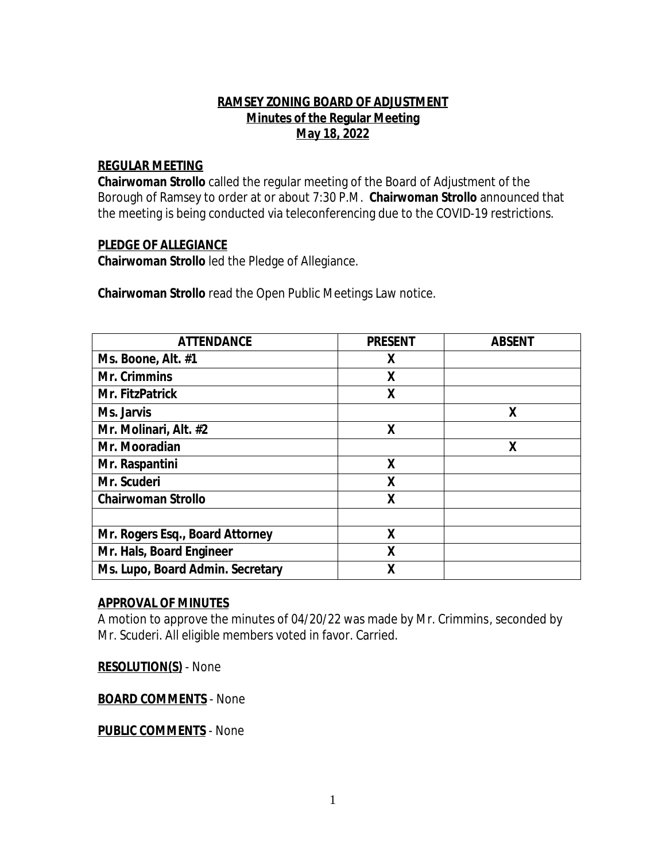#### **RAMSEY ZONING BOARD OF ADJUSTMENT Minutes of the Regular Meeting May 18, 2022**

#### **REGULAR MEETING**

**Chairwoman Strollo** called the regular meeting of the Board of Adjustment of the Borough of Ramsey to order at or about 7:30 P.M. **Chairwoman Strollo** announced that the meeting is being conducted via teleconferencing due to the COVID-19 restrictions.

#### **PLEDGE OF ALLEGIANCE**

**Chairwoman Strollo** led the Pledge of Allegiance.

**Chairwoman Strollo** read the Open Public Meetings Law notice.

| <b>ATTENDANCE</b>                | <b>PRESENT</b> | <b>ABSENT</b> |
|----------------------------------|----------------|---------------|
| Ms. Boone, Alt. #1               | X              |               |
| <b>Mr. Crimmins</b>              | X              |               |
| Mr. FitzPatrick                  | X              |               |
| Ms. Jarvis                       |                | X             |
| Mr. Molinari, Alt. #2            | χ              |               |
| Mr. Mooradian                    |                | X             |
| Mr. Raspantini                   | X              |               |
| Mr. Scuderi                      | X              |               |
| <b>Chairwoman Strollo</b>        | X              |               |
|                                  |                |               |
| Mr. Rogers Esq., Board Attorney  | X              |               |
| Mr. Hals, Board Engineer         | X              |               |
| Ms. Lupo, Board Admin. Secretary | X              |               |

#### **APPROVAL OF MINUTES**

A motion to approve the minutes of 04/20/22 was made by Mr. Crimmins, seconded by Mr. Scuderi. All eligible members voted in favor. Carried.

**RESOLUTION(S)** - None

**BOARD COMMENTS** - None

**PUBLIC COMMENTS** - None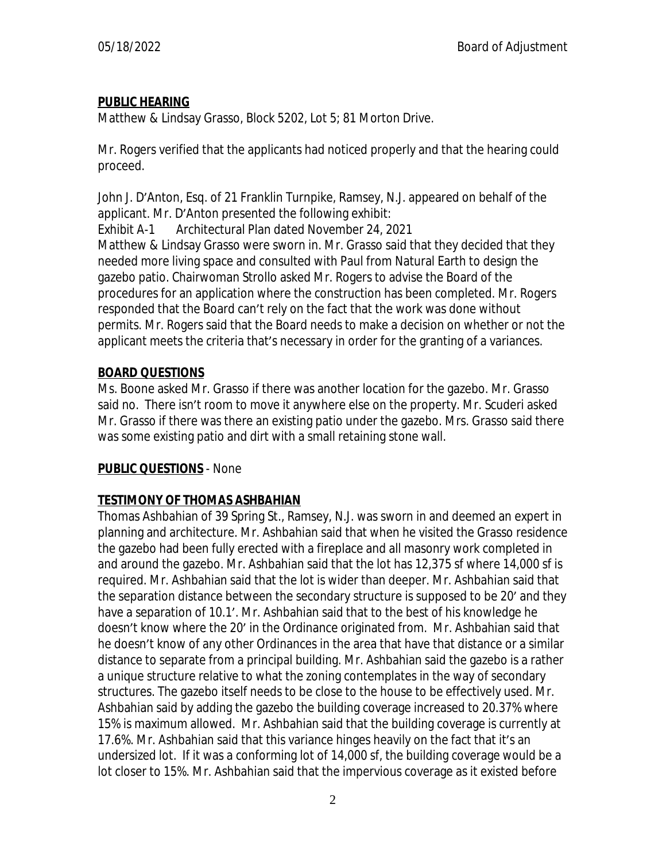# **PUBLIC HEARING**

Matthew & Lindsay Grasso, Block 5202, Lot 5; 81 Morton Drive.

Mr. Rogers verified that the applicants had noticed properly and that the hearing could proceed.

John J. D'Anton, Esq. of 21 Franklin Turnpike, Ramsey, N.J. appeared on behalf of the applicant. Mr. D'Anton presented the following exhibit:

Exhibit A-1 Architectural Plan dated November 24, 2021 Matthew & Lindsay Grasso were sworn in. Mr. Grasso said that they decided that they needed more living space and consulted with Paul from Natural Earth to design the gazebo patio. Chairwoman Strollo asked Mr. Rogers to advise the Board of the procedures for an application where the construction has been completed. Mr. Rogers responded that the Board can't rely on the fact that the work was done without permits. Mr. Rogers said that the Board needs to make a decision on whether or not the applicant meets the criteria that's necessary in order for the granting of a variances.

# **BOARD QUESTIONS**

Ms. Boone asked Mr. Grasso if there was another location for the gazebo. Mr. Grasso said no. There isn't room to move it anywhere else on the property. Mr. Scuderi asked Mr. Grasso if there was there an existing patio under the gazebo. Mrs. Grasso said there was some existing patio and dirt with a small retaining stone wall.

# **PUBLIC QUESTIONS** - None

# **TESTIMONY OF THOMAS ASHBAHIAN**

Thomas Ashbahian of 39 Spring St., Ramsey, N.J. was sworn in and deemed an expert in planning and architecture. Mr. Ashbahian said that when he visited the Grasso residence the gazebo had been fully erected with a fireplace and all masonry work completed in and around the gazebo. Mr. Ashbahian said that the lot has 12,375 sf where 14,000 sf is required. Mr. Ashbahian said that the lot is wider than deeper. Mr. Ashbahian said that the separation distance between the secondary structure is supposed to be 20' and they have a separation of 10.1'. Mr. Ashbahian said that to the best of his knowledge he doesn't know where the 20' in the Ordinance originated from. Mr. Ashbahian said that he doesn't know of any other Ordinances in the area that have that distance or a similar distance to separate from a principal building. Mr. Ashbahian said the gazebo is a rather a unique structure relative to what the zoning contemplates in the way of secondary structures. The gazebo itself needs to be close to the house to be effectively used. Mr. Ashbahian said by adding the gazebo the building coverage increased to 20.37% where 15% is maximum allowed. Mr. Ashbahian said that the building coverage is currently at 17.6%. Mr. Ashbahian said that this variance hinges heavily on the fact that it's an undersized lot. If it was a conforming lot of 14,000 sf, the building coverage would be a lot closer to 15%. Mr. Ashbahian said that the impervious coverage as it existed before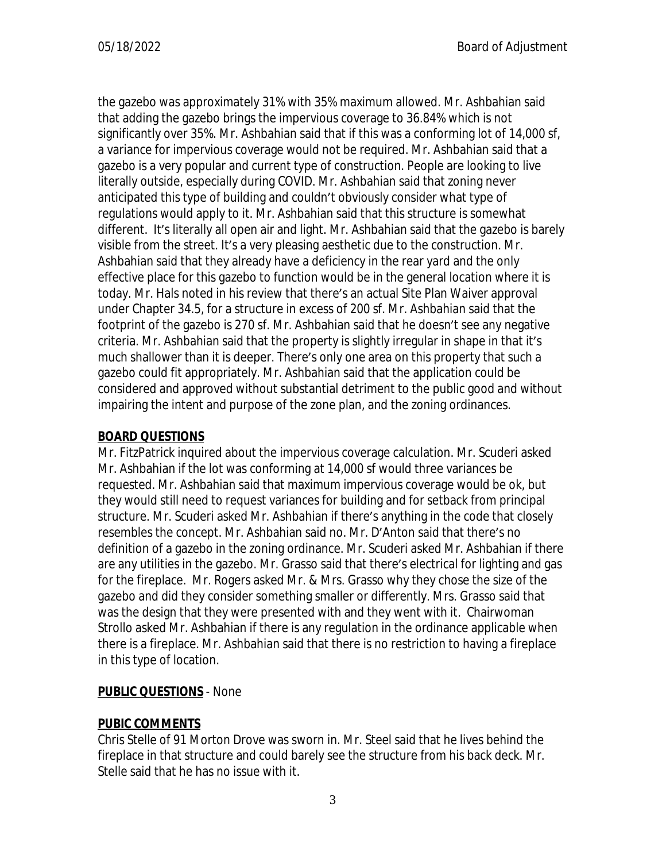the gazebo was approximately 31% with 35% maximum allowed. Mr. Ashbahian said that adding the gazebo brings the impervious coverage to 36.84% which is not significantly over 35%. Mr. Ashbahian said that if this was a conforming lot of 14,000 sf, a variance for impervious coverage would not be required. Mr. Ashbahian said that a gazebo is a very popular and current type of construction. People are looking to live literally outside, especially during COVID. Mr. Ashbahian said that zoning never anticipated this type of building and couldn't obviously consider what type of regulations would apply to it. Mr. Ashbahian said that this structure is somewhat different. It's literally all open air and light. Mr. Ashbahian said that the gazebo is barely visible from the street. It's a very pleasing aesthetic due to the construction. Mr. Ashbahian said that they already have a deficiency in the rear yard and the only effective place for this gazebo to function would be in the general location where it is today. Mr. Hals noted in his review that there's an actual Site Plan Waiver approval under Chapter 34.5, for a structure in excess of 200 sf. Mr. Ashbahian said that the footprint of the gazebo is 270 sf. Mr. Ashbahian said that he doesn't see any negative criteria. Mr. Ashbahian said that the property is slightly irregular in shape in that it's much shallower than it is deeper. There's only one area on this property that such a gazebo could fit appropriately. Mr. Ashbahian said that the application could be considered and approved without substantial detriment to the public good and without impairing the intent and purpose of the zone plan, and the zoning ordinances.

## **BOARD QUESTIONS**

Mr. FitzPatrick inquired about the impervious coverage calculation. Mr. Scuderi asked Mr. Ashbahian if the lot was conforming at 14,000 sf would three variances be requested. Mr. Ashbahian said that maximum impervious coverage would be ok, but they would still need to request variances for building and for setback from principal structure. Mr. Scuderi asked Mr. Ashbahian if there's anything in the code that closely resembles the concept. Mr. Ashbahian said no. Mr. D'Anton said that there's no definition of a gazebo in the zoning ordinance. Mr. Scuderi asked Mr. Ashbahian if there are any utilities in the gazebo. Mr. Grasso said that there's electrical for lighting and gas for the fireplace. Mr. Rogers asked Mr. & Mrs. Grasso why they chose the size of the gazebo and did they consider something smaller or differently. Mrs. Grasso said that was the design that they were presented with and they went with it. Chairwoman Strollo asked Mr. Ashbahian if there is any regulation in the ordinance applicable when there is a fireplace. Mr. Ashbahian said that there is no restriction to having a fireplace in this type of location.

# **PUBLIC QUESTIONS** - None

# **PUBIC COMMENTS**

Chris Stelle of 91 Morton Drove was sworn in. Mr. Steel said that he lives behind the fireplace in that structure and could barely see the structure from his back deck. Mr. Stelle said that he has no issue with it.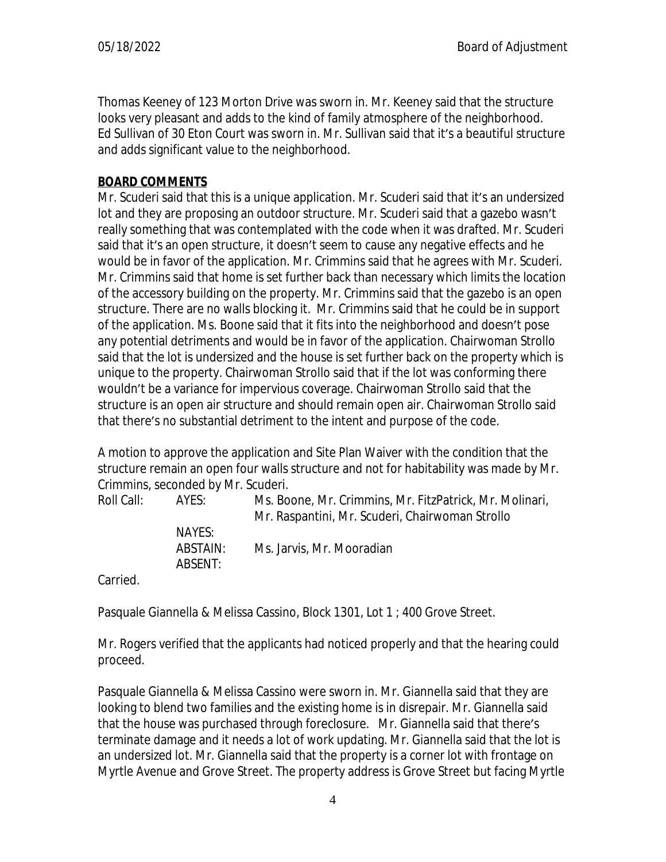Thomas Keeney of 123 Morton Drive was sworn in. Mr. Keeney said that the structure looks very pleasant and adds to the kind of family atmosphere of the neighborhood. Ed Sullivan of 30 Eton Court was sworn in. Mr. Sullivan said that it's a beautiful structure and adds significant value to the neighborhood.

### **BOARD COMMENTS**

Mr. Scuderi said that this is a unique application. Mr. Scuderi said that it's an undersized lot and they are proposing an outdoor structure. Mr. Scuderi said that a gazebo wasn't really something that was contemplated with the code when it was drafted. Mr. Scuderi said that it's an open structure, it doesn't seem to cause any negative effects and he would be in favor of the application. Mr. Crimmins said that he agrees with Mr. Scuderi. Mr. Crimmins said that home is set further back than necessary which limits the location of the accessory building on the property. Mr. Crimmins said that the gazebo is an open structure. There are no walls blocking it. Mr. Crimmins said that he could be in support of the application. Ms. Boone said that it fits into the neighborhood and doesn't pose any potential detriments and would be in favor of the application. Chairwoman Strollo said that the lot is undersized and the house is set further back on the property which is unique to the property. Chairwoman Strollo said that if the lot was conforming there wouldn't be a variance for impervious coverage. Chairwoman Strollo said that the structure is an open air structure and should remain open air. Chairwoman Strollo said that there's no substantial detriment to the intent and purpose of the code.

A motion to approve the application and Site Plan Waiver with the condition that the structure remain an open four walls structure and not for habitability was made by Mr. Crimmins, seconded by Mr. Scuderi.

| Roll Call: I | AYES:               | Ms. Boone, Mr. Crimmins, Mr. FitzPatrick, Mr. Molinari,<br>Mr. Raspantini, Mr. Scuderi, Chairwoman Strollo |
|--------------|---------------------|------------------------------------------------------------------------------------------------------------|
|              | NAYES:              |                                                                                                            |
|              | ABSTAIN:<br>ABSENT: | Ms. Jarvis, Mr. Mooradian                                                                                  |
|              |                     |                                                                                                            |

Carried.

Pasquale Giannella & Melissa Cassino, Block 1301, Lot 1 ; 400 Grove Street.

Mr. Rogers verified that the applicants had noticed properly and that the hearing could proceed.

Pasquale Giannella & Melissa Cassino were sworn in. Mr. Giannella said that they are looking to blend two families and the existing home is in disrepair. Mr. Giannella said that the house was purchased through foreclosure. Mr. Giannella said that there's terminate damage and it needs a lot of work updating. Mr. Giannella said that the lot is an undersized lot. Mr. Giannella said that the property is a corner lot with frontage on Myrtle Avenue and Grove Street. The property address is Grove Street but facing Myrtle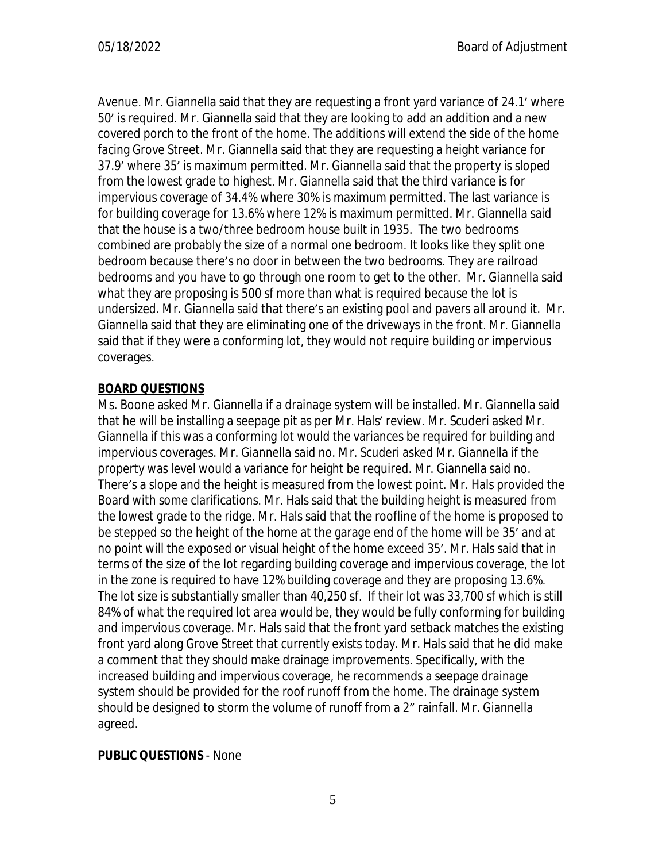Avenue. Mr. Giannella said that they are requesting a front yard variance of 24.1' where 50' is required. Mr. Giannella said that they are looking to add an addition and a new covered porch to the front of the home. The additions will extend the side of the home facing Grove Street. Mr. Giannella said that they are requesting a height variance for 37.9' where 35' is maximum permitted. Mr. Giannella said that the property is sloped from the lowest grade to highest. Mr. Giannella said that the third variance is for impervious coverage of 34.4% where 30% is maximum permitted. The last variance is for building coverage for 13.6% where 12% is maximum permitted. Mr. Giannella said that the house is a two/three bedroom house built in 1935. The two bedrooms combined are probably the size of a normal one bedroom. It looks like they split one bedroom because there's no door in between the two bedrooms. They are railroad bedrooms and you have to go through one room to get to the other. Mr. Giannella said what they are proposing is 500 sf more than what is required because the lot is undersized. Mr. Giannella said that there's an existing pool and pavers all around it. Mr. Giannella said that they are eliminating one of the driveways in the front. Mr. Giannella said that if they were a conforming lot, they would not require building or impervious coverages.

## **BOARD QUESTIONS**

Ms. Boone asked Mr. Giannella if a drainage system will be installed. Mr. Giannella said that he will be installing a seepage pit as per Mr. Hals' review. Mr. Scuderi asked Mr. Giannella if this was a conforming lot would the variances be required for building and impervious coverages. Mr. Giannella said no. Mr. Scuderi asked Mr. Giannella if the property was level would a variance for height be required. Mr. Giannella said no. There's a slope and the height is measured from the lowest point. Mr. Hals provided the Board with some clarifications. Mr. Hals said that the building height is measured from the lowest grade to the ridge. Mr. Hals said that the roofline of the home is proposed to be stepped so the height of the home at the garage end of the home will be 35' and at no point will the exposed or visual height of the home exceed 35'. Mr. Hals said that in terms of the size of the lot regarding building coverage and impervious coverage, the lot in the zone is required to have 12% building coverage and they are proposing 13.6%. The lot size is substantially smaller than 40,250 sf. If their lot was 33,700 sf which is still 84% of what the required lot area would be, they would be fully conforming for building and impervious coverage. Mr. Hals said that the front yard setback matches the existing front yard along Grove Street that currently exists today. Mr. Hals said that he did make a comment that they should make drainage improvements. Specifically, with the increased building and impervious coverage, he recommends a seepage drainage system should be provided for the roof runoff from the home. The drainage system should be designed to storm the volume of runoff from a 2" rainfall. Mr. Giannella agreed.

#### **PUBLIC QUESTIONS** - None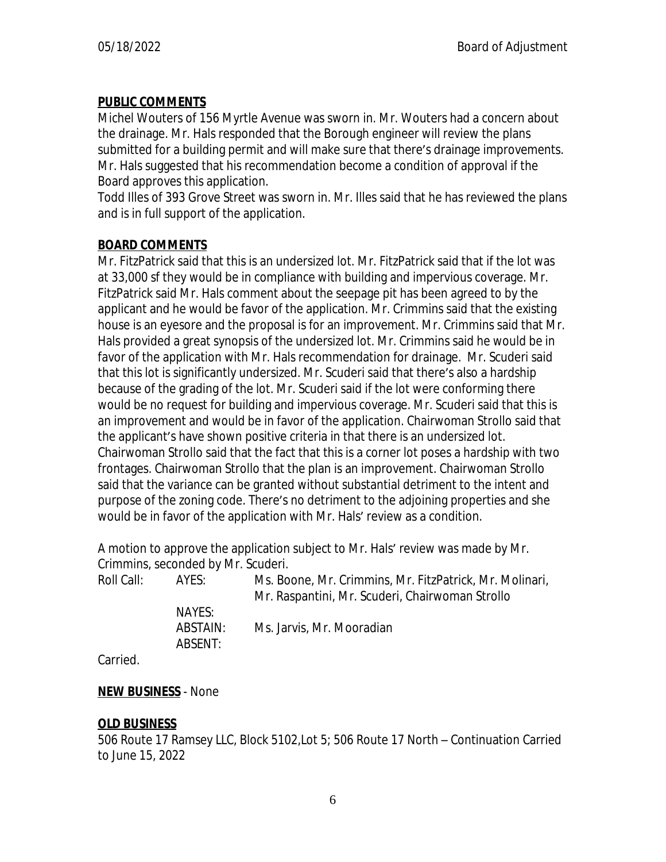## **PUBLIC COMMENTS**

Michel Wouters of 156 Myrtle Avenue was sworn in. Mr. Wouters had a concern about the drainage. Mr. Hals responded that the Borough engineer will review the plans submitted for a building permit and will make sure that there's drainage improvements. Mr. Hals suggested that his recommendation become a condition of approval if the Board approves this application.

Todd Illes of 393 Grove Street was sworn in. Mr. Illes said that he has reviewed the plans and is in full support of the application.

### **BOARD COMMENTS**

Mr. FitzPatrick said that this is an undersized lot. Mr. FitzPatrick said that if the lot was at 33,000 sf they would be in compliance with building and impervious coverage. Mr. FitzPatrick said Mr. Hals comment about the seepage pit has been agreed to by the applicant and he would be favor of the application. Mr. Crimmins said that the existing house is an eyesore and the proposal is for an improvement. Mr. Crimmins said that Mr. Hals provided a great synopsis of the undersized lot. Mr. Crimmins said he would be in favor of the application with Mr. Hals recommendation for drainage. Mr. Scuderi said that this lot is significantly undersized. Mr. Scuderi said that there's also a hardship because of the grading of the lot. Mr. Scuderi said if the lot were conforming there would be no request for building and impervious coverage. Mr. Scuderi said that this is an improvement and would be in favor of the application. Chairwoman Strollo said that the applicant's have shown positive criteria in that there is an undersized lot. Chairwoman Strollo said that the fact that this is a corner lot poses a hardship with two frontages. Chairwoman Strollo that the plan is an improvement. Chairwoman Strollo said that the variance can be granted without substantial detriment to the intent and purpose of the zoning code. There's no detriment to the adjoining properties and she would be in favor of the application with Mr. Hals' review as a condition.

A motion to approve the application subject to Mr. Hals' review was made by Mr. Crimmins, seconded by Mr. Scuderi.

| Roll Call:           | AYES:               | Ms. Boone, Mr. Crimmins, Mr. FitzPatrick, Mr. Molinari,<br>Mr. Raspantini, Mr. Scuderi, Chairwoman Strollo |
|----------------------|---------------------|------------------------------------------------------------------------------------------------------------|
|                      | NAYES:              |                                                                                                            |
|                      | ABSTAIN:<br>ABSENT: | Ms. Jarvis, Mr. Mooradian                                                                                  |
| $\sim$ $\sim$ $\sim$ |                     |                                                                                                            |

Carried.

### **NEW BUSINESS** - None

### **OLD BUSINESS**

506 Route 17 Ramsey LLC, Block 5102,Lot 5; 506 Route 17 North – Continuation Carried to June 15, 2022